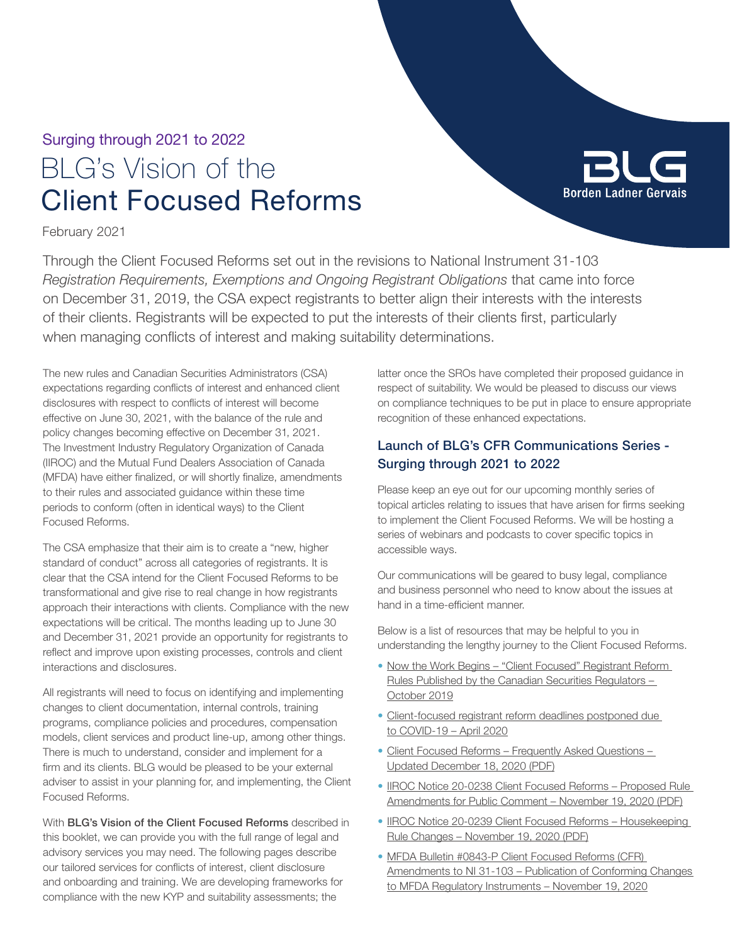## BLG's Vision of the Client Focused Reforms Surging through 2021 to 2022

BLG **Borden Ladner Gervai** 

February 2021

Through the Client Focused Reforms set out in the revisions to National Instrument 31-103 *Registration Requirements, Exemptions and Ongoing Registrant Obligations* that came into force on December 31, 2019, the CSA expect registrants to better align their interests with the interests of their clients. Registrants will be expected to put the interests of their clients first, particularly when managing conflicts of interest and making suitability determinations.

The new rules and Canadian Securities Administrators (CSA) expectations regarding conflicts of interest and enhanced client disclosures with respect to conflicts of interest will become effective on June 30, 2021, with the balance of the rule and policy changes becoming effective on December 31, 2021. The Investment Industry Regulatory Organization of Canada (IIROC) and the Mutual Fund Dealers Association of Canada (MFDA) have either finalized, or will shortly finalize, amendments to their rules and associated guidance within these time periods to conform (often in identical ways) to the Client Focused Reforms.

The CSA emphasize that their aim is to create a "new, higher standard of conduct" across all categories of registrants. It is clear that the CSA intend for the Client Focused Reforms to be transformational and give rise to real change in how registrants approach their interactions with clients. Compliance with the new expectations will be critical. The months leading up to June 30 and December 31, 2021 provide an opportunity for registrants to reflect and improve upon existing processes, controls and client interactions and disclosures.

All registrants will need to focus on identifying and implementing changes to client documentation, internal controls, training programs, compliance policies and procedures, compensation models, client services and product line-up, among other things. There is much to understand, consider and implement for a firm and its clients. BLG would be pleased to be your external adviser to assist in your planning for, and implementing, the Client Focused Reforms.

With BLG's Vision of the Client Focused Reforms described in this booklet, we can provide you with the full range of legal and advisory services you may need. The following pages describe our tailored services for conflicts of interest, client disclosure and onboarding and training. We are developing frameworks for compliance with the new KYP and suitability assessments; the

latter once the SROs have completed their proposed guidance in respect of suitability. We would be pleased to discuss our views on compliance techniques to be put in place to ensure appropriate recognition of these enhanced expectations.

## Launch of BLG's CFR Communications Series - Surging through 2021 to 2022

Please keep an eye out for our upcoming monthly series of topical articles relating to issues that have arisen for firms seeking to implement the Client Focused Reforms. We will be hosting a series of webinars and podcasts to cover specific topics in accessible ways.

Our communications will be geared to busy legal, compliance and business personnel who need to know about the issues at hand in a time-efficient manner.

Below is a list of resources that may be helpful to you in understanding the lengthy journey to the Client Focused Reforms.

- [Now the Work Begins "Client Focused" Registrant Reform](https://www.blg.com/en/insights/2019/10/now-the-work-begins-client-focused-registrant-reform-rules)  [Rules Published by the Canadian Securities Regulators –](https://www.blg.com/en/insights/2019/10/now-the-work-begins-client-focused-registrant-reform-rules)  [October 2019](https://www.blg.com/en/insights/2019/10/now-the-work-begins-client-focused-registrant-reform-rules)
- [Client-focused registrant reform deadlines postponed due](https://www.blg.com/en/insights/2020/04/client-focused-registrant-reform-deadlines-postponed-due-to-covid-19)  [to COVID-19 – April 2020](https://www.blg.com/en/insights/2020/04/client-focused-registrant-reform-deadlines-postponed-due-to-covid-19)
- [Client Focused Reforms Frequently Asked Questions](https://www.securities-administrators.ca/uploadedFiles/General/pdfs/CFRsFAQsDecember2020FINALEN.pdf)  [Updated December 18, 2020 \(PDF\)](https://www.securities-administrators.ca/uploadedFiles/General/pdfs/CFRsFAQsDecember2020FINALEN.pdf)
- [IIROC Notice 20-0238 Client Focused Reforms Proposed Rule](https://www.iiroc.ca/Documents/2020/0212672e-b195-40d7-a9a9-e1c045b7b223_en.pdf)  [Amendments for Public Comment – November 19, 2020](https://www.iiroc.ca/Documents/2020/0212672e-b195-40d7-a9a9-e1c045b7b223_en.pdf) (PDF)
- IIROC Notice 20-0239 Client Focused Reforms Housekeeping [Rule Changes – November 19, 2020 \(PDF\)](https://www.iiroc.ca/documents/2020/216a6a6a-4869-4a3c-99ed-09577987c022_en.pdf)
- [MFDA Bulletin #0843-P Client Focused Reforms \(CFR\)](https://mfda.ca/bulletin/bulletin0843-p/)  [Amendments to NI 31-103 – Publication of Conforming Changes](https://mfda.ca/bulletin/bulletin0843-p/)  [to MFDA Regulatory Instruments – November 19, 2020](https://mfda.ca/bulletin/bulletin0843-p/)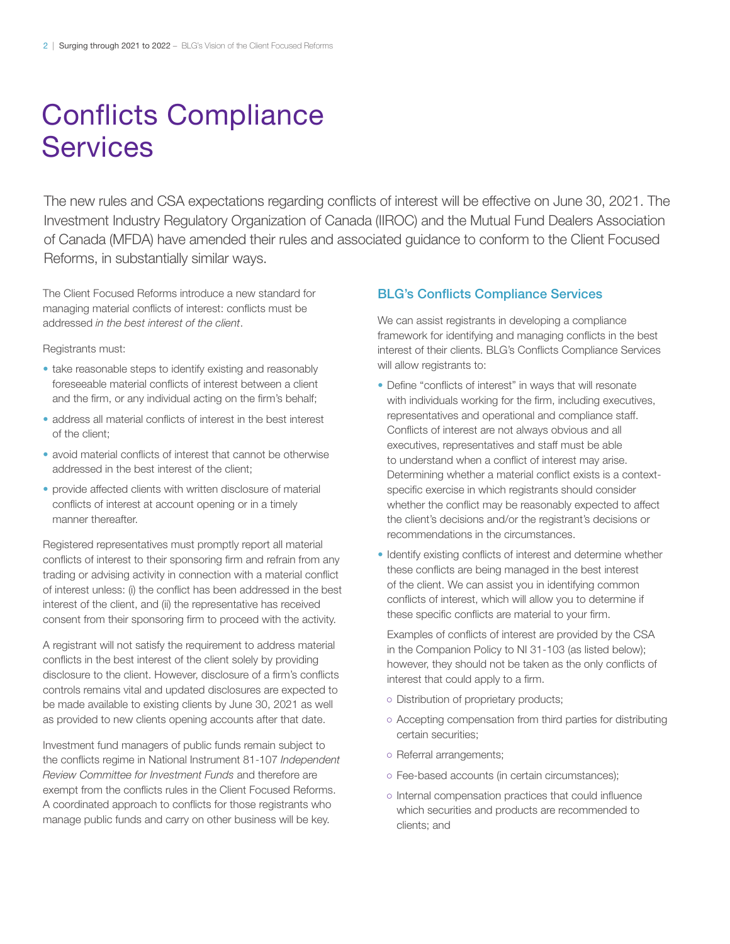# Conflicts Compliance **Services**

The new rules and CSA expectations regarding conflicts of interest will be effective on June 30, 2021. The Investment Industry Regulatory Organization of Canada (IIROC) and the Mutual Fund Dealers Association of Canada (MFDA) have amended their rules and associated guidance to conform to the Client Focused Reforms, in substantially similar ways.

The Client Focused Reforms introduce a new standard for managing material conflicts of interest: conflicts must be addressed *in the best interest of the client*.

Registrants must:

- take reasonable steps to identify existing and reasonably foreseeable material conflicts of interest between a client and the firm, or any individual acting on the firm's behalf;
- address all material conflicts of interest in the best interest of the client;
- avoid material conflicts of interest that cannot be otherwise addressed in the best interest of the client;
- provide affected clients with written disclosure of material conflicts of interest at account opening or in a timely manner thereafter.

Registered representatives must promptly report all material conflicts of interest to their sponsoring firm and refrain from any trading or advising activity in connection with a material conflict of interest unless: (i) the conflict has been addressed in the best interest of the client, and (ii) the representative has received consent from their sponsoring firm to proceed with the activity.

A registrant will not satisfy the requirement to address material conflicts in the best interest of the client solely by providing disclosure to the client. However, disclosure of a firm's conflicts controls remains vital and updated disclosures are expected to be made available to existing clients by June 30, 2021 as well as provided to new clients opening accounts after that date.

Investment fund managers of public funds remain subject to the conflicts regime in National Instrument 81-107 *Independent Review Committee for Investment Funds* and therefore are exempt from the conflicts rules in the Client Focused Reforms. A coordinated approach to conflicts for those registrants who manage public funds and carry on other business will be key.

#### BLG's Conflicts Compliance Services

We can assist registrants in developing a compliance framework for identifying and managing conflicts in the best interest of their clients. BLG's Conflicts Compliance Services will allow registrants to:

- Define "conflicts of interest" in ways that will resonate with individuals working for the firm, including executives, representatives and operational and compliance staff. Conflicts of interest are not always obvious and all executives, representatives and staff must be able to understand when a conflict of interest may arise. Determining whether a material conflict exists is a contextspecific exercise in which registrants should consider whether the conflict may be reasonably expected to affect the client's decisions and/or the registrant's decisions or recommendations in the circumstances.
- Identify existing conflicts of interest and determine whether these conflicts are being managed in the best interest of the client. We can assist you in identifying common conflicts of interest, which will allow you to determine if these specific conflicts are material to your firm.

Examples of conflicts of interest are provided by the CSA in the Companion Policy to NI 31-103 (as listed below); however, they should not be taken as the only conflicts of interest that could apply to a firm.

- Distribution of proprietary products;
- Accepting compensation from third parties for distributing certain securities;
- Referral arrangements;
- Fee-based accounts (in certain circumstances);
- Internal compensation practices that could influence which securities and products are recommended to clients; and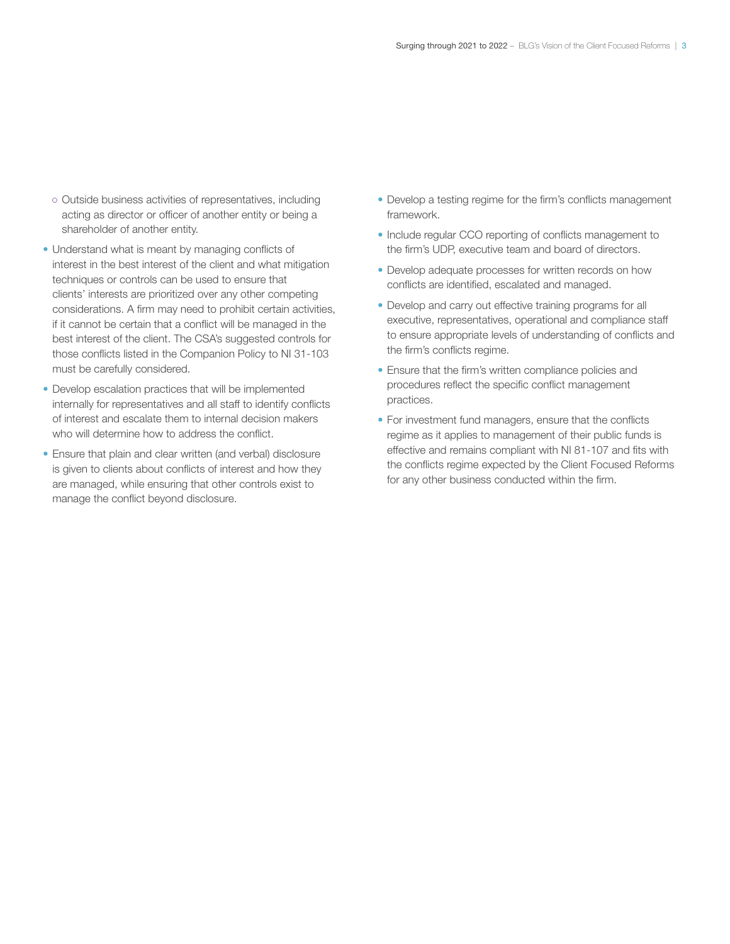- Outside business activities of representatives, including acting as director or officer of another entity or being a shareholder of another entity.
- Understand what is meant by managing conflicts of interest in the best interest of the client and what mitigation techniques or controls can be used to ensure that clients' interests are prioritized over any other competing considerations. A firm may need to prohibit certain activities, if it cannot be certain that a conflict will be managed in the best interest of the client. The CSA's suggested controls for those conflicts listed in the Companion Policy to NI 31-103 must be carefully considered.
- Develop escalation practices that will be implemented internally for representatives and all staff to identify conflicts of interest and escalate them to internal decision makers who will determine how to address the conflict.
- Ensure that plain and clear written (and verbal) disclosure is given to clients about conflicts of interest and how they are managed, while ensuring that other controls exist to manage the conflict beyond disclosure.
- Develop a testing regime for the firm's conflicts management framework.
- Include regular CCO reporting of conflicts management to the firm's UDP, executive team and board of directors.
- Develop adequate processes for written records on how conflicts are identified, escalated and managed.
- Develop and carry out effective training programs for all executive, representatives, operational and compliance staff to ensure appropriate levels of understanding of conflicts and the firm's conflicts regime.
- Ensure that the firm's written compliance policies and procedures reflect the specific conflict management practices.
- For investment fund managers, ensure that the conflicts regime as it applies to management of their public funds is effective and remains compliant with NI 81-107 and fits with the conflicts regime expected by the Client Focused Reforms for any other business conducted within the firm.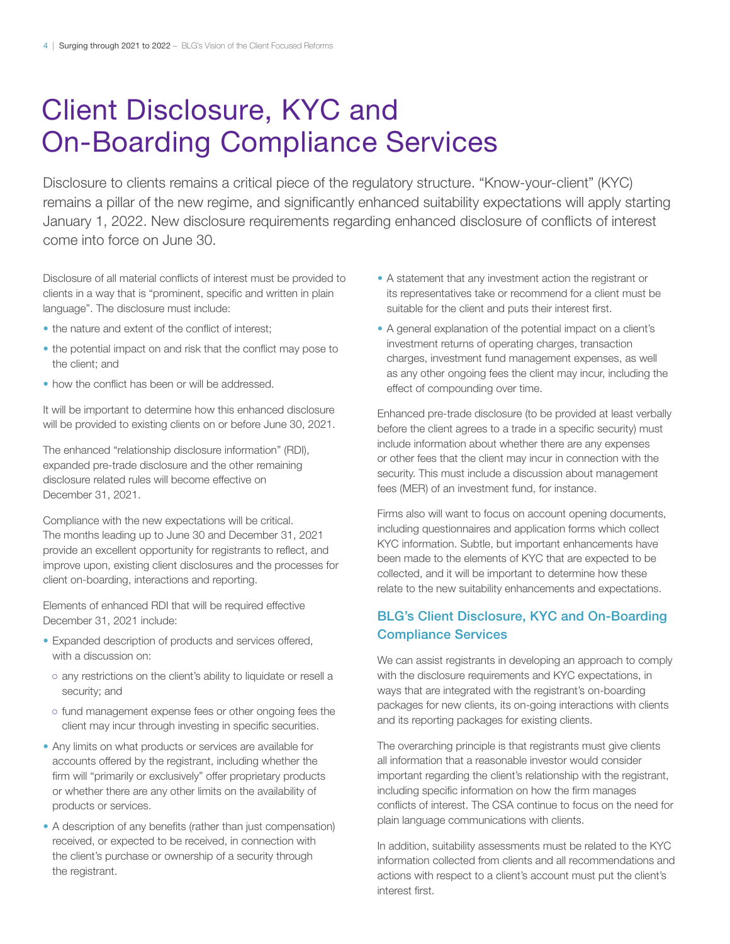## Client Disclosure, KYC and On-Boarding Compliance Services

Disclosure to clients remains a critical piece of the regulatory structure. "Know-your-client" (KYC) remains a pillar of the new regime, and significantly enhanced suitability expectations will apply starting January 1, 2022. New disclosure requirements regarding enhanced disclosure of conflicts of interest come into force on June 30.

Disclosure of all material conflicts of interest must be provided to clients in a way that is "prominent, specific and written in plain language". The disclosure must include:

- the nature and extent of the conflict of interest;
- the potential impact on and risk that the conflict may pose to the client; and
- how the conflict has been or will be addressed.

It will be important to determine how this enhanced disclosure will be provided to existing clients on or before June 30, 2021.

The enhanced "relationship disclosure information" (RDI), expanded pre-trade disclosure and the other remaining disclosure related rules will become effective on December 31, 2021.

Compliance with the new expectations will be critical. The months leading up to June 30 and December 31, 2021 provide an excellent opportunity for registrants to reflect, and improve upon, existing client disclosures and the processes for client on-boarding, interactions and reporting.

Elements of enhanced RDI that will be required effective December 31, 2021 include:

- Expanded description of products and services offered, with a discussion on:
- o any restrictions on the client's ability to liquidate or resell a security; and
- fund management expense fees or other ongoing fees the client may incur through investing in specific securities.
- Any limits on what products or services are available for accounts offered by the registrant, including whether the firm will "primarily or exclusively" offer proprietary products or whether there are any other limits on the availability of products or services.
- A description of any benefits (rather than just compensation) received, or expected to be received, in connection with the client's purchase or ownership of a security through the registrant.
- A statement that any investment action the registrant or its representatives take or recommend for a client must be suitable for the client and puts their interest first.
- A general explanation of the potential impact on a client's investment returns of operating charges, transaction charges, investment fund management expenses, as well as any other ongoing fees the client may incur, including the effect of compounding over time.

Enhanced pre-trade disclosure (to be provided at least verbally before the client agrees to a trade in a specific security) must include information about whether there are any expenses or other fees that the client may incur in connection with the security. This must include a discussion about management fees (MER) of an investment fund, for instance.

Firms also will want to focus on account opening documents, including questionnaires and application forms which collect KYC information. Subtle, but important enhancements have been made to the elements of KYC that are expected to be collected, and it will be important to determine how these relate to the new suitability enhancements and expectations.

## BLG's Client Disclosure, KYC and On-Boarding Compliance Services

We can assist registrants in developing an approach to comply with the disclosure requirements and KYC expectations, in ways that are integrated with the registrant's on-boarding packages for new clients, its on-going interactions with clients and its reporting packages for existing clients.

The overarching principle is that registrants must give clients all information that a reasonable investor would consider important regarding the client's relationship with the registrant, including specific information on how the firm manages conflicts of interest. The CSA continue to focus on the need for plain language communications with clients.

In addition, suitability assessments must be related to the KYC information collected from clients and all recommendations and actions with respect to a client's account must put the client's interest first.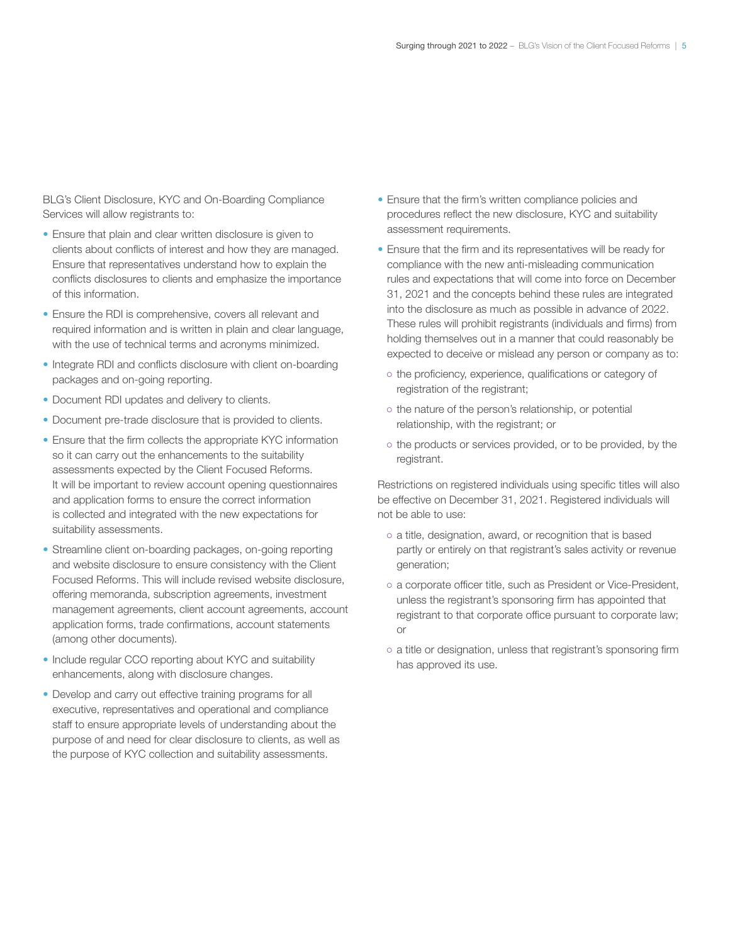BLG's Client Disclosure, KYC and On-Boarding Compliance Services will allow registrants to:

- Ensure that plain and clear written disclosure is given to clients about conflicts of interest and how they are managed. Ensure that representatives understand how to explain the conflicts disclosures to clients and emphasize the importance of this information.
- Ensure the RDI is comprehensive, covers all relevant and required information and is written in plain and clear language, with the use of technical terms and acronyms minimized.
- Integrate RDI and conflicts disclosure with client on-boarding packages and on-going reporting.
- Document RDI updates and delivery to clients.
- Document pre-trade disclosure that is provided to clients.
- Ensure that the firm collects the appropriate KYC information so it can carry out the enhancements to the suitability assessments expected by the Client Focused Reforms. It will be important to review account opening questionnaires and application forms to ensure the correct information is collected and integrated with the new expectations for suitability assessments.
- Streamline client on-boarding packages, on-going reporting and website disclosure to ensure consistency with the Client Focused Reforms. This will include revised website disclosure, offering memoranda, subscription agreements, investment management agreements, client account agreements, account application forms, trade confirmations, account statements (among other documents).
- Include regular CCO reporting about KYC and suitability enhancements, along with disclosure changes.
- Develop and carry out effective training programs for all executive, representatives and operational and compliance staff to ensure appropriate levels of understanding about the purpose of and need for clear disclosure to clients, as well as the purpose of KYC collection and suitability assessments.
- Ensure that the firm's written compliance policies and procedures reflect the new disclosure, KYC and suitability assessment requirements.
- Ensure that the firm and its representatives will be ready for compliance with the new anti-misleading communication rules and expectations that will come into force on December 31, 2021 and the concepts behind these rules are integrated into the disclosure as much as possible in advance of 2022. These rules will prohibit registrants (individuals and firms) from holding themselves out in a manner that could reasonably be expected to deceive or mislead any person or company as to:
	- the proficiency, experience, qualifications or category of registration of the registrant;
	- o the nature of the person's relationship, or potential relationship, with the registrant; or
	- the products or services provided, or to be provided, by the registrant.

Restrictions on registered individuals using specific titles will also be effective on December 31, 2021. Registered individuals will not be able to use:

- a title, designation, award, or recognition that is based partly or entirely on that registrant's sales activity or revenue generation;
- a corporate officer title, such as President or Vice-President, unless the registrant's sponsoring firm has appointed that registrant to that corporate office pursuant to corporate law; or
- a title or designation, unless that registrant's sponsoring firm has approved its use.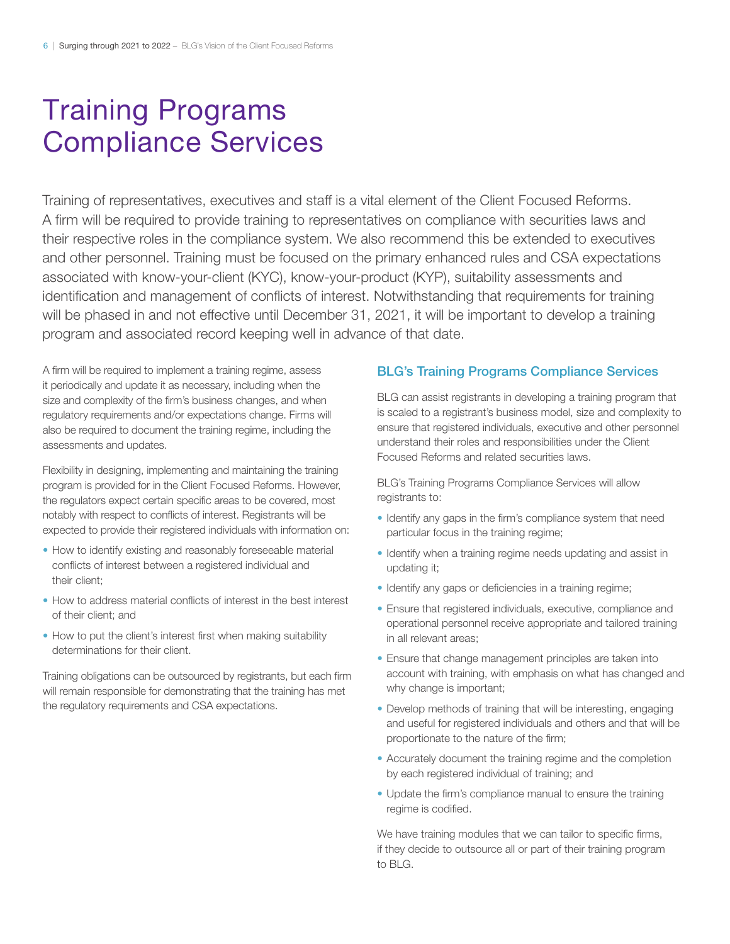## Training Programs Compliance Services

Training of representatives, executives and staff is a vital element of the Client Focused Reforms. A firm will be required to provide training to representatives on compliance with securities laws and their respective roles in the compliance system. We also recommend this be extended to executives and other personnel. Training must be focused on the primary enhanced rules and CSA expectations associated with know-your-client (KYC), know-your-product (KYP), suitability assessments and identification and management of conflicts of interest. Notwithstanding that requirements for training will be phased in and not effective until December 31, 2021, it will be important to develop a training program and associated record keeping well in advance of that date.

A firm will be required to implement a training regime, assess it periodically and update it as necessary, including when the size and complexity of the firm's business changes, and when regulatory requirements and/or expectations change. Firms will also be required to document the training regime, including the assessments and updates.

Flexibility in designing, implementing and maintaining the training program is provided for in the Client Focused Reforms. However, the regulators expect certain specific areas to be covered, most notably with respect to conflicts of interest. Registrants will be expected to provide their registered individuals with information on:

- How to identify existing and reasonably foreseeable material conflicts of interest between a registered individual and their client;
- How to address material conflicts of interest in the best interest of their client; and
- How to put the client's interest first when making suitability determinations for their client.

Training obligations can be outsourced by registrants, but each firm will remain responsible for demonstrating that the training has met the regulatory requirements and CSA expectations.

#### BLG's Training Programs Compliance Services

BLG can assist registrants in developing a training program that is scaled to a registrant's business model, size and complexity to ensure that registered individuals, executive and other personnel understand their roles and responsibilities under the Client Focused Reforms and related securities laws.

BLG's Training Programs Compliance Services will allow registrants to:

- Identify any gaps in the firm's compliance system that need particular focus in the training regime;
- Identify when a training regime needs updating and assist in updating it;
- Identify any gaps or deficiencies in a training regime;
- Ensure that registered individuals, executive, compliance and operational personnel receive appropriate and tailored training in all relevant areas;
- Ensure that change management principles are taken into account with training, with emphasis on what has changed and why change is important;
- Develop methods of training that will be interesting, engaging and useful for registered individuals and others and that will be proportionate to the nature of the firm;
- Accurately document the training regime and the completion by each registered individual of training; and
- Update the firm's compliance manual to ensure the training regime is codified.

We have training modules that we can tailor to specific firms, if they decide to outsource all or part of their training program to BLG.